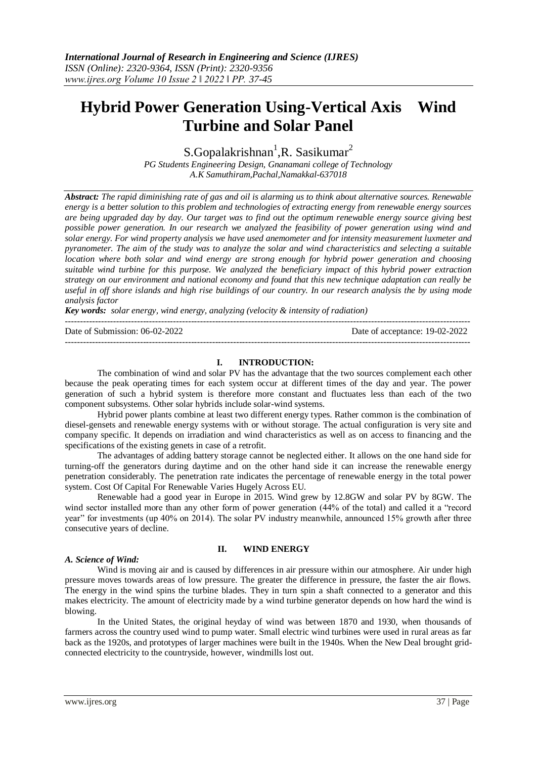# **Hybrid Power Generation Using-Vertical Axis Wind Turbine and Solar Panel**

S.Gopalakrishnan<sup>1</sup>, R. Sasikumar<sup>2</sup>

*PG Students Engineering Design, Gnanamani college of Technology A.K Samuthiram,Pachal,Namakkal-637018*

*Abstract: The rapid diminishing rate of gas and oil is alarming us to think about alternative sources. Renewable energy is a better solution to this problem and technologies of extracting energy from renewable energy sources are being upgraded day by day. Our target was to find out the optimum renewable energy source giving best possible power generation. In our research we analyzed the feasibility of power generation using wind and solar energy. For wind property analysis we have used anemometer and for intensity measurement luxmeter and pyranometer. The aim of the study was to analyze the solar and wind characteristics and selecting a suitable location where both solar and wind energy are strong enough for hybrid power generation and choosing suitable wind turbine for this purpose. We analyzed the beneficiary impact of this hybrid power extraction strategy on our environment and national economy and found that this new technique adaptation can really be useful in off shore islands and high rise buildings of our country. In our research analysis the by using mode analysis factor*

*Key words: solar energy, wind energy, analyzing (velocity & intensity of radiation)* ---------------------------------------------------------------------------------------------------------------------------------------

Date of Submission: 06-02-2022 Date of acceptance: 19-02-2022

## **I. INTRODUCTION:**

---------------------------------------------------------------------------------------------------------------------------------------

The combination of wind and solar PV has the advantage that the two sources complement each other because the peak operating times for each system occur at different times of the day and year. The power generation of such a hybrid system is therefore more constant and fluctuates less than each of the two component subsystems. Other solar hybrids include [solar-wind systems.](https://en.wikipedia.org/wiki/Wind_hybrid_power_systems#Wind-solar_systems)

Hybrid power plants combine at least two different energy types. Rather common is the combination of diesel-gensets and renewable energy systems with or without storage. The actual configuration is very site and company specific. It depends on irradiation and wind characteristics as well as on access to financing and the specifications of the existing genets in case of a retrofit.

The advantages of adding battery storage cannot be neglected either. It allows on the one hand side for turning-off the generators during daytime and on the other hand side it can increase the renewable energy penetration considerably. The penetration rate indicates the percentage of renewable energy in the total power system. Cost Of Capital For Renewable Varies Hugely Across EU.

Renewable had a good year in Europe in 2015. Wind grew by 12.8GW and solar PV by 8GW. The wind sector installed more than any other form of power generation (44% of the total) and called it a "record year" for investments (up 40% on 2014). The solar PV industry meanwhile, announced 15% growth after three consecutive years of decline.

## *A. Science of Wind:*

## **II. WIND ENERGY**

Wind is moving air and is caused by differences in air pressure within our atmosphere. Air under high pressure moves towards areas of low pressure. The greater the difference in pressure, the faster the air flows. The energy in the wind spins the turbine blades. They in turn spin a shaft connected to a generator and this makes electricity. The amount of electricity made by a wind turbine generator depends on how hard the wind is blowing.

In the United States, the original heyday of wind was between 1870 and 1930, when thousands of farmers across the country used wind to pump water. Small electric wind turbines were used in rural areas as far back as the 1920s, and prototypes of larger machines were built in the 1940s. When the New Deal brought gridconnected electricity to the countryside, however, windmills lost out.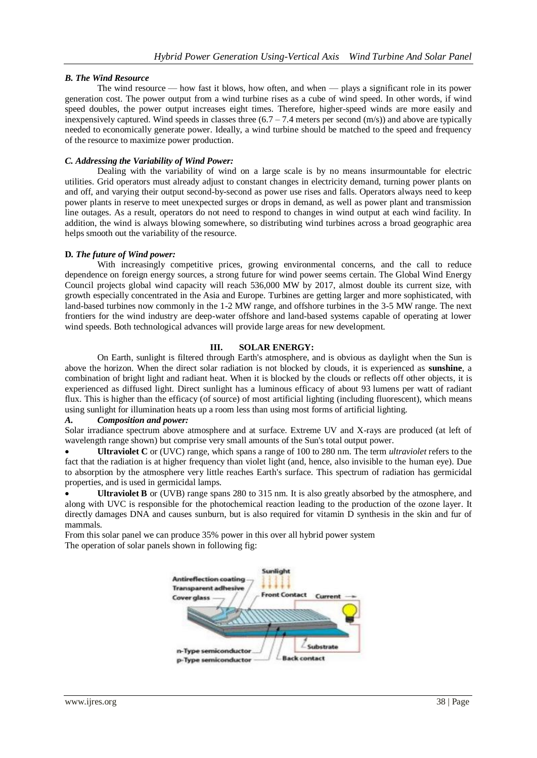# *B. The Wind Resource*

The wind resource — how fast it blows, how often, and when — plays a significant role in its power generation cost. The power output from a wind turbine rises as a cube of wind speed. In other words, if wind speed doubles, the power output increases eight times. Therefore, higher-speed winds are more easily and inexpensively captured. Wind speeds in classes three  $(6.7 - 7.4$  meters per second  $(m/s)$ ) and above are typically needed to economically generate power. Ideally, a wind turbine should be matched to the speed and frequency of the resource to maximize power production.

## *C. Addressing the Variability of Wind Power:*

Dealing with the variability of wind on a large scale is by no means insurmountable for electric utilities. Grid operators must already adjust to constant changes in electricity demand, turning power plants on and off, and varying their output second-by-second as power use rises and falls. Operators always need to keep power plants in reserve to meet unexpected surges or drops in demand, as well as power plant and transmission line outages. As a result, operators do not need to respond to changes in wind output at each wind facility. In addition, the wind is always blowing somewhere, so distributing wind turbines across a broad geographic area helps smooth out the variability of the resource.

## **D***. The future of Wind power:*

With increasingly competitive prices, growing environmental concerns, and the call to reduce dependence on foreign energy sources, a strong future for wind power seems certain. The Global Wind Energy Council projects global wind capacity will reach 536,000 MW by 2017, almost double its current size, with growth especially concentrated in the Asia and Europe. Turbines are getting larger and more sophisticated, with land-based turbines now commonly in the 1-2 MW range, and offshore turbines in the 3-5 MW range. The next frontiers for the wind industry are deep-water offshore and land-based systems capable of operating at lower wind speeds. Both technological advances will provide large areas for new development.

#### **III. SOLAR ENERGY:**

On [Earth,](https://en.wikipedia.org/wiki/Earth) sunlight is [filtered](https://en.wikipedia.org/wiki/Filter_%28optics%29) through [Earth's atmosphere,](https://en.wikipedia.org/wiki/Atmosphere_of_Earth) and is obvious as [daylight](https://en.wikipedia.org/wiki/Daylight) when the Sun is above the [horizon.](https://en.wikipedia.org/wiki/Horizon) When the direct solar radiation is not blocked by clouds, it is experienced as **sunshine**, a combination of bright [light](https://en.wikipedia.org/wiki/Light) and [radiant heat.](https://en.wikipedia.org/wiki/Radiant_heat) When it is blocked by the clouds or [reflects off other objects,](https://en.wikipedia.org/wiki/Diffuse_reflection) it is experienced as diffused light. Direct sunlight has a [luminous efficacy](https://en.wikipedia.org/wiki/Luminous_efficacy) of about 93 [lumens](https://en.wikipedia.org/wiki/Lumen_%28unit%29) per watt of [radiant](https://en.wikipedia.org/wiki/Radiant_flux)  [flux.](https://en.wikipedia.org/wiki/Radiant_flux) This is higher than the efficacy (of source) of most [artificial lighting](https://en.wikipedia.org/wiki/Artificial_lighting) (including fluorescent), which means using sunlight for illumination heats up a room less than using most forms of artificial lighting.

## *A. Composition and power:*

Solar irradiance spectrum above atmosphere and at surface. Extreme UV and X-rays are produced (at left of wavelength range shown) but comprise very small amounts of the Sun's total output power.

 **Ultraviolet C** or (UVC) range, which spans a range of 100 to 280 nm. The term *ultraviolet* refers to the fact that the radiation is at higher frequency than violet light (and, hence, also invisible to the [human eye\)](https://en.wikipedia.org/wiki/Human_eye). Due to absorption by the atmosphere very little reaches Earth's surface. This spectrum of radiation [has germicidal](https://en.wikipedia.org/wiki/Ultraviolet_germicidal_irradiation)  [properties,](https://en.wikipedia.org/wiki/Ultraviolet_germicidal_irradiation) and is used in [germicidal lamps.](https://en.wikipedia.org/wiki/Germicidal_lamp)

 **Ultraviolet B** or (UVB) range spans 280 to 315 nm. It is also greatly absorbed by the atmosphere, and along with UVC is responsible for the [photochemical reaction](https://en.wikipedia.org/wiki/Photochemical_reaction) leading to the production of the [ozone layer.](https://en.wikipedia.org/wiki/Ozone_layer) It directly damages DNA and causes [sunburn,](https://en.wikipedia.org/wiki/Sunburn) but is also required for [vitamin D](https://en.wikipedia.org/wiki/Vitamin_D) synthesis in the skin and fur of mammals.

From this solar panel we can produce 35% power in this over all hybrid power system The operation of solar panels shown in following fig:

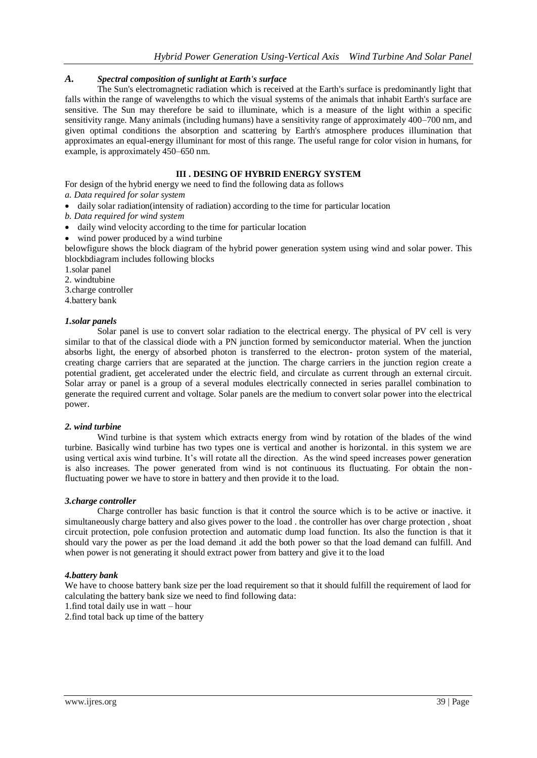# *A. Spectral composition of sunlight at Earth's surface*

The Sun's electromagnetic radiation which is received at the Earth's surface is predominantly light that falls within the range of wavelengths to which the visual systems of the animals that inhabit Earth's surface are sensitive. The Sun may therefore be said to [illuminate,](https://en.wikipedia.org/wiki/Lighting) which is a measure of the light within a specific sensitivity range. Many animals (including humans) have a sensitivity range of approximately 400–700 nm, and given optimal conditions the absorption and scattering by Earth's atmosphere produces illumination that approximates an [equal-energy illuminant](https://en.wikipedia.org/wiki/Standard_illuminant) for most of this range. The useful range for color vision in humans, for example, is approximately 450–650 nm.

# **III . DESING OF HYBRID ENERGY SYSTEM**

For design of the hybrid energy we need to find the following data as follows

# *a. Data required for solar system*

- daily solar radiation(intensity of radiation) according to the time for particular location
- *b. Data required for wind system*
- daily wind velocity according to the time for particular location
- wind power produced by a wind turbine

belowfigure shows the block diagram of the hybrid power generation system using wind and solar power. This blockbdiagram includes following blocks

- 1.solar panel
- 2. windtubine
- 3.charge controller

4.battery bank

#### *1.solar panels*

Solar panel is use to convert solar radiation to the electrical energy. The physical of PV cell is very similar to that of the classical diode with a PN junction formed by semiconductor material. When the junction absorbs light, the energy of absorbed photon is transferred to the electron- proton system of the material, creating charge carriers that are separated at the junction. The charge carriers in the junction region create a potential gradient, get accelerated under the electric field, and circulate as current through an external circuit. Solar array or panel is a group of a several modules electrically connected in series parallel combination to generate the required current and voltage. Solar panels are the medium to convert solar power into the electrical power.

#### *2. wind turbine*

Wind turbine is that system which extracts energy from wind by rotation of the blades of the wind turbine. Basically wind turbine has two types one is vertical and another is horizontal. in this system we are using vertical axis wind turbine. It's will rotate all the direction. As the wind speed increases power generation is also increases. The power generated from wind is not continuous its fluctuating. For obtain the nonfluctuating power we have to store in battery and then provide it to the load.

#### *3.charge controller*

Charge controller has basic function is that it control the source which is to be active or inactive. it simultaneously charge battery and also gives power to the load . the controller has over charge protection , shoat circuit protection, pole confusion protection and automatic dump load function. Its also the function is that it should vary the power as per the load demand .it add the both power so that the load demand can fulfill. And when power is not generating it should extract power from battery and give it to the load

#### *4.battery bank*

We have to choose battery bank size per the load requirement so that it should fulfill the requirement of laod for calculating the battery bank size we need to find following data:

1.find total daily use in watt – hour

2.find total back up time of the battery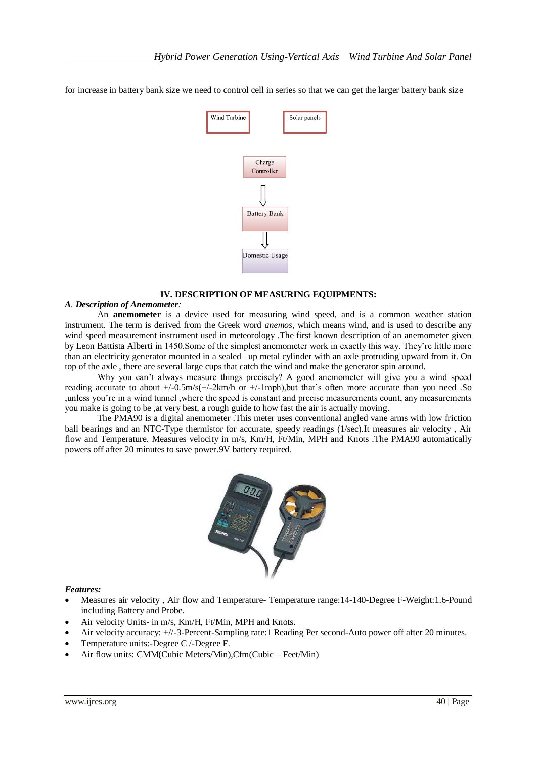for increase in battery bank size we need to control cell in series so that we can get the larger battery bank size



## **IV. DESCRIPTION OF MEASURING EQUIPMENTS:**

#### *A. Description of Anemometer:*

An **anemometer** is a device used for measuring [wind](https://en.wikipedia.org/wiki/Wind) speed, and is a common [weather station](https://en.wikipedia.org/wiki/Weather_station) instrument. The term is derived from the Greek word *anemos*, which means wind, and is used to describe any wind speed measurement instrument used in [meteorology](https://en.wikipedia.org/wiki/Meteorology) .The first known description of an anemometer given by [Leon Battista Alberti](https://en.wikipedia.org/wiki/Leon_Battista_Alberti) in 1450.Some of the simplest anemometer work in exactly this way. They're little more than an electricity generator mounted in a sealed –up metal cylinder with an axle protruding upward from it. On top of the axle , there are several large cups that catch the wind and make the generator spin around.

Why you can't always measure things precisely? A good anemometer will give you a wind speed reading accurate to about +/-0.5m/s(+/-2km/h or +/-1mph),but that's often more accurate than you need .So ,unless you're in a wind tunnel ,where the speed is constant and precise measurements count, any measurements you make is going to be ,at very best, a rough guide to how fast the air is actually moving.

The PMA90 is a digital anemometer .This meter uses conventional angled vane arms with low friction ball bearings and an NTC-Type thermistor for accurate, speedy readings (1/sec).It measures air velocity , Air flow and Temperature. Measures velocity in m/s, Km/H, Ft/Min, MPH and Knots .The PMA90 automatically powers off after 20 minutes to save power.9V battery required.



#### *Features:*

- Measures air velocity , Air flow and Temperature- Temperature range:14-140-Degree F-Weight:1.6-Pound including Battery and Probe.
- Air velocity Units- in m/s, Km/H, Ft/Min, MPH and Knots.
- Air velocity accuracy: +//-3-Percent-Sampling rate:1 Reading Per second-Auto power off after 20 minutes.
- Temperature units:-Degree C /-Degree F.
- Air flow units: CMM(Cubic Meters/Min),Cfm(Cubic Feet/Min)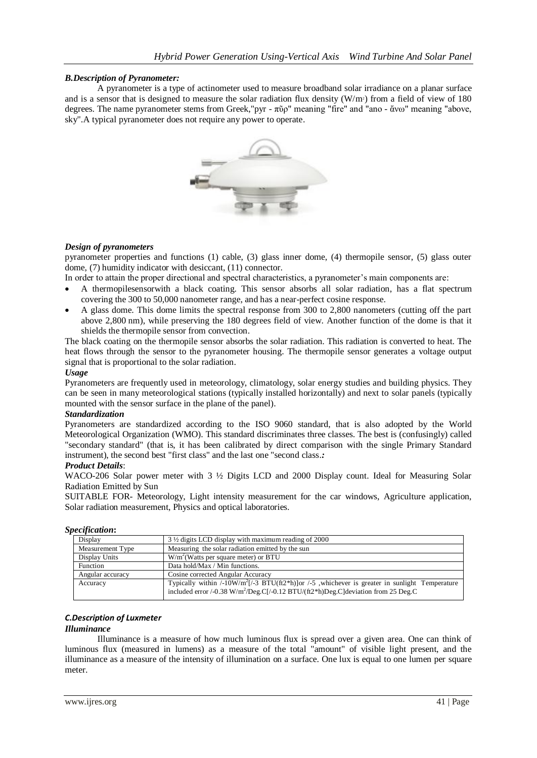# *B.Description of Pyranometer:*

A pyranometer is a type of [actinometer](https://en.wikipedia.org/wiki/Actinometer) used to measure broadband [solar irradiance](https://en.wikipedia.org/wiki/Solar_irradiance) on a planar surface and is a sensor that is designed to measure the solar radiation flux density  $(W/m^2)$  from a field of view of 180 degrees. The name pyranometer stems from Greek,"pyr - πῦρ" meaning "fire" and "ano - ἄνω" meaning "above, sky".A typical pyranometer does not require any power to operate.



## *Design of pyranometers*

pyranometer properties and functions (1) cable, (3) glass inner dome, (4) thermopile sensor, (5) glass outer dome, (7) humidity indicator with desiccant, (11) connector.

In order to attain the proper directional and spectral characteristics, a pyranometer's main components are:

- A [thermopiles](https://en.wikipedia.org/wiki/Thermopile)ensorwith a black coating. This sensor absorbs all solar radiation, has a flat spectrum covering the 300 to 50,000 nanometer range, and has a near-perfect cosine response.
- A glass dome. This dome limits the spectral response from 300 to 2,800 nanometers (cutting off the part above 2,800 nm), while preserving the 180 degrees field of view. Another function of the dome is that it shields the thermopile sensor from convection.

The black coating on the thermopile sensor absorbs the solar radiation. This radiation is converted to heat. The heat flows through the sensor to the pyranometer housing. The thermopile sensor generates a voltage output signal that is proportional to the solar radiation.

## *Usage*

Pyranometers are frequently used in [meteorology,](https://en.wikipedia.org/wiki/Meteorology) [climatology,](https://en.wikipedia.org/wiki/Climatology) [solar energy](https://en.wikipedia.org/wiki/Solar_energy) studies and building physics. They can be seen in many meteorological stations (typically installed horizontally) and next to [solar panels](https://en.wikipedia.org/wiki/Photovoltaic_module) (typically mounted with the sensor surface in the plane of the panel).

#### *Standardization*

Pyranometers are standardized according to the [ISO](https://en.wikipedia.org/wiki/International_Organization_for_Standardization) 9060 standard, that is also adopted by the [World](https://en.wikipedia.org/wiki/World_Meteorological_Organization)  [Meteorological Organization](https://en.wikipedia.org/wiki/World_Meteorological_Organization) (WMO). This standard discriminates three classes. The best is (confusingly) called "secondary standard" (that is, it has been calibrated by direct comparison with the single Primary Standard instrument), the second best "first class" and the last one "second class.*:*

## *Product Details*:

WACO-206 Solar power meter with 3  $\frac{1}{2}$  Digits LCD and 2000 Display count. Ideal for Measuring Solar Radiation Emitted by Sun

SUITABLE FOR- Meteorology, Light intensity measurement for the car windows, Agriculture application, Solar radiation measurement, Physics and optical laboratories.

| recyncunon.      |                                                                                                                      |  |  |
|------------------|----------------------------------------------------------------------------------------------------------------------|--|--|
| Display          | $3\frac{1}{2}$ digits LCD display with maximum reading of 2000                                                       |  |  |
| Measurement Type | Measuring the solar radiation emitted by the sun                                                                     |  |  |
| Display Units    | $W/m2(Watts per square meter)$ or BTU                                                                                |  |  |
| Function         | Data hold/Max / Min functions.                                                                                       |  |  |
| Angular accuracy | Cosine corrected Angular Accuracy                                                                                    |  |  |
| Accuracy         | Typically within $/$ -10W/m <sup>2</sup> [ $/$ -3 BTU(ft2*h)]or $/$ -5 ,whichever is greater in sunlight Temperature |  |  |
|                  | included error /-0.38 W/m <sup>2</sup> /Deg.C[/-0.12 BTU/(ft2*h)Deg.C]deviation from 25 Deg.C                        |  |  |
|                  |                                                                                                                      |  |  |

# *Specification***:**

## *C.Description of Luxmeter*

## *Illuminance*

Illuminance is a measure of how much [luminous flux](https://en.wikipedia.org/wiki/Luminous_flux) is spread over a given area. One can think of luminous flux (measured in [lumens\)](https://en.wikipedia.org/wiki/Lumen_%28unit%29) as a measure of the total "amount" of visible light present, and the illuminance as a measure of the intensity of illumination on a surface. One lux is equal to one lumen per [square](https://en.wikipedia.org/wiki/Square_metre)  [meter](https://en.wikipedia.org/wiki/Square_metre).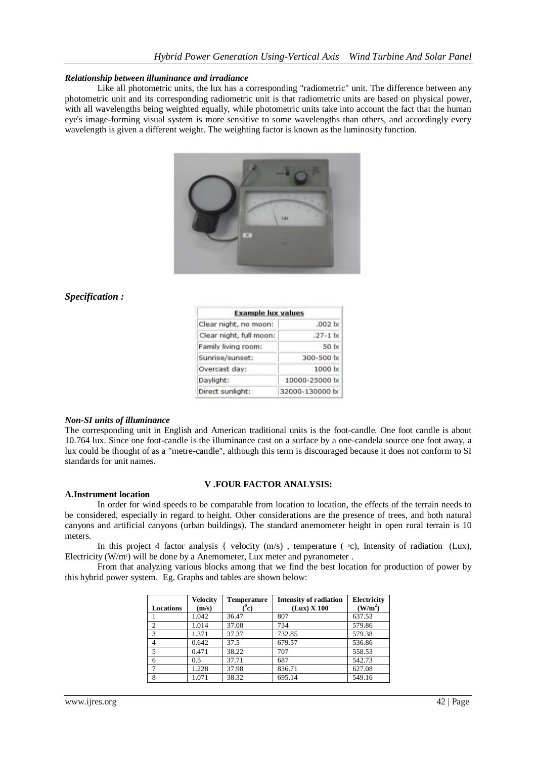## *Relationship between illuminance and irradiance*

Like all [photometric units,](https://en.wikipedia.org/wiki/Photometry_%28optics%29) the lux has a corresponding ["radiometric"](https://en.wikipedia.org/wiki/Radiometry) unit. The difference between any photometric unit and its corresponding radiometric unit is that radiometric units are based on physical power, with all wavelengths being weighted equally, while photometric units take into account the fact that the human eye's image-forming visual system is more sensitive to some wavelengths than others, and accordingly every wavelength is given a different weight. The weighting factor is known as the [luminosity function.](https://en.wikipedia.org/wiki/Luminosity_function)



# *Specification :*

| <b>Example lux values</b> |                    |  |  |  |
|---------------------------|--------------------|--|--|--|
| Clear night, no moon:     | .002 <sub>ix</sub> |  |  |  |
| Clear night, full moon:   | $.27 - 1$  x       |  |  |  |
| Family living room:       | 50 lx              |  |  |  |
| Sunrise/sunset:           | 300-500 lx         |  |  |  |
| Overcast day:             | $1000 \mathrm{lx}$ |  |  |  |
| Daylight:                 | 10000-25000 lx     |  |  |  |
| Direct sunlight:          | 32000-130000 lx    |  |  |  |

#### *Non-SI units of illuminance*

The corresponding unit in English and American traditional units is the [foot-candle.](https://en.wikipedia.org/wiki/Foot-candle) One foot candle is about 10.764 lux. Since one foot-candle is the illuminance cast on a surface by a one-candela source one foot away, a lux could be thought of as a "metre-candle", although this term is discouraged because it does not conform to SI standards for unit names.

#### **V .FOUR FACTOR ANALYSIS:**

# **A.Instrument location**

In order for wind speeds to be comparable from location to location, the effects of the terrain needs to be considered, especially in regard to height. Other considerations are the presence of trees, and both natural canyons and artificial canyons (urban buildings). The standard anemometer height in open rural terrain is 10 meters.

In this project 4 factor analysis { velocity  $(m/s)$ , temperature ( $\degree$ c), Intensity of radiation (Lux), Electricity (W/m2) will be done by a Anemometer, Lux meter and pyranometer .

From that analyzing various blocks among that we find the best location for production of power by this hybrid power system. Eg. Graphs and tables are shown below:

| <b>Locations</b> | <b>Velocity</b><br>(m/s) | <b>Temperature</b><br>(°c) | <b>Intensity of radiation</b><br>$(Lux)$ X 100 | <b>Electricity</b><br>(W/m <sup>2</sup> ) |
|------------------|--------------------------|----------------------------|------------------------------------------------|-------------------------------------------|
|                  | 1.042                    | 36.47                      | 807                                            | 637.53                                    |
| $\overline{2}$   | 1.014                    | 37.08                      | 734                                            | 579.86                                    |
| 3                | 1.371                    | 37.37                      | 732.85                                         | 579.38                                    |
| $\overline{4}$   | 0.642                    | 37.5                       | 679.57                                         | 536.86                                    |
| 5                | 0.471                    | 38.22                      | 707                                            | 558.53                                    |
| 6                | 0.5                      | 37.71                      | 687                                            | 542.73                                    |
|                  | 1.228                    | 37.98                      | 836.71                                         | 627.08                                    |
| 8                | 1.071                    | 38.32                      | 695.14                                         | 549.16                                    |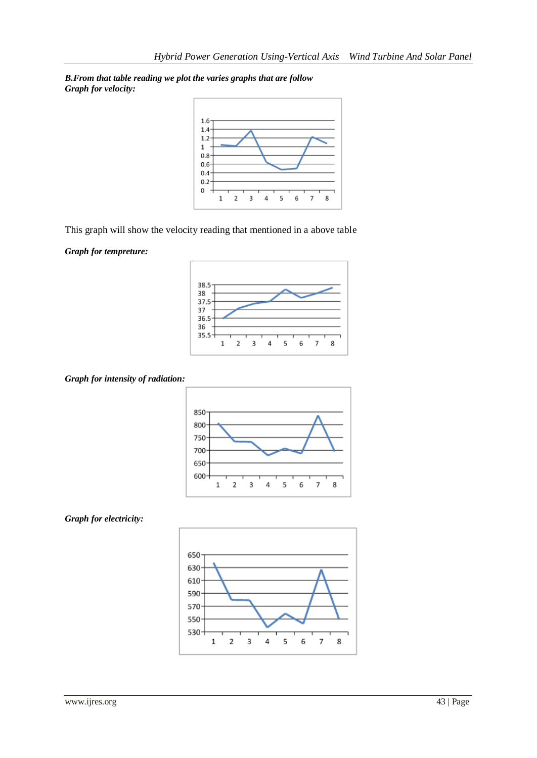*B.From that table reading we plot the varies graphs that are follow Graph for velocity:*



This graph will show the velocity reading that mentioned in a above table

*Graph for tempreture:*



*Graph for intensity of radiation:*





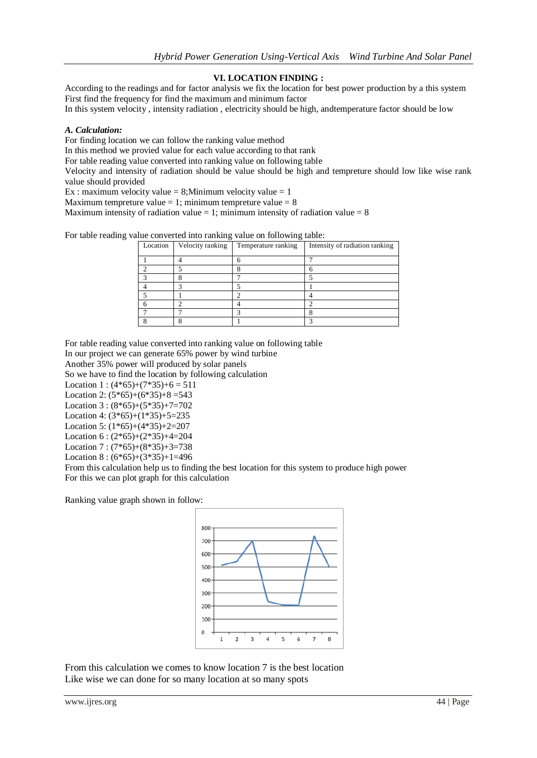# **VI. LOCATION FINDING :**

According to the readings and for factor analysis we fix the location for best power production by a this system First find the frequency for find the maximum and minimum factor

In this system velocity , intensity radiation , electricity should be high, andtemperature factor should be low

# *A. Calculation:*

For finding location we can follow the ranking value method

In this method we provied value for each value according to that rank

For table reading value converted into ranking value on following table

Velocity and intensity of radiation should be value should be high and tempreture should low like wise rank value should provided

Ex : maximum velocity value = 8;Minimum velocity value = 1

Maximum tempreture value  $= 1$ ; minimum tempreture value  $= 8$ 

Maximum intensity of radiation value  $= 1$ ; minimum intensity of radiation value  $= 8$ 

For table reading value converted into ranking value on following table:

| Location | Velocity ranking | Temperature ranking | Intensity of radiation ranking |
|----------|------------------|---------------------|--------------------------------|
|          |                  |                     |                                |
|          |                  |                     |                                |
|          |                  |                     |                                |
|          |                  |                     |                                |
|          |                  |                     |                                |
|          |                  |                     |                                |
|          |                  |                     |                                |
|          |                  |                     |                                |

For table reading value converted into ranking value on following table

In our project we can generate 65% power by wind turbine

Another 35% power will produced by solar panels

So we have to find the location by following calculation

Location 1 :  $(4*65)+(7*35)+6=511$ 

Location 2:  $(5*65)+(6*35)+8=543$ 

Location 3 : (8\*65)+(5\*35)+7=702

Location 4: (3\*65)+(1\*35)+5=235

Location 5: (1\*65)+(4\*35)+2=207

Location 6 : (2\*65)+(2\*35)+4=204

Location 7 : (7\*65)+(8\*35)+3=738

Location 8 : (6\*65)+(3\*35)+1=496

From this calculation help us to finding the best location for this system to produce high power For this we can plot graph for this calculation

Ranking value graph shown in follow:



From this calculation we comes to know location 7 is the best location Like wise we can done for so many location at so many spots